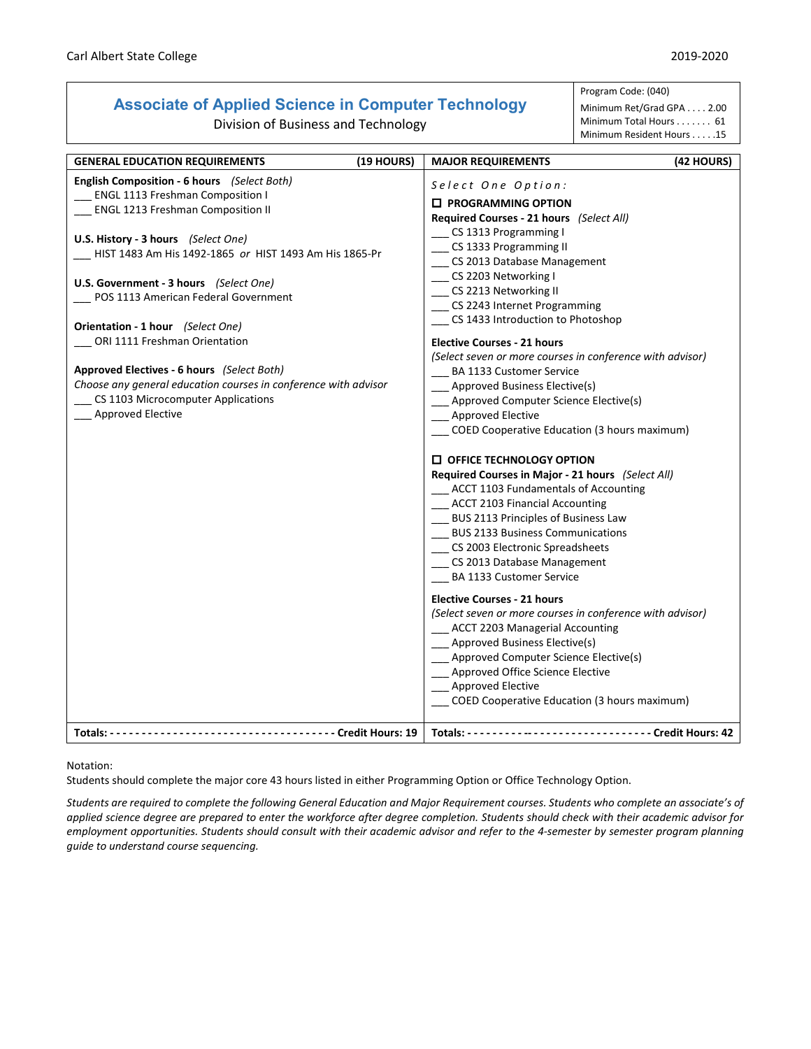## **Associate of Applied Science in Computer Technology**

Division of Business and Technology

Program Code: (040) Minimum Ret/Grad GPA . . . . 2.00

Minimum Total Hours . . . . . . . 61 Minimum Resident Hours . . . . .15

| (19 HOURS)<br><b>GENERAL EDUCATION REQUIREMENTS</b>                                                                                                                                                                                                                                                                                                                                                                                                                                                                                                                        |                                                                                                                                                                                                                                                                                                                                                                                                                                                                                                                                                                                                                                                                                                  |            |
|----------------------------------------------------------------------------------------------------------------------------------------------------------------------------------------------------------------------------------------------------------------------------------------------------------------------------------------------------------------------------------------------------------------------------------------------------------------------------------------------------------------------------------------------------------------------------|--------------------------------------------------------------------------------------------------------------------------------------------------------------------------------------------------------------------------------------------------------------------------------------------------------------------------------------------------------------------------------------------------------------------------------------------------------------------------------------------------------------------------------------------------------------------------------------------------------------------------------------------------------------------------------------------------|------------|
| English Composition - 6 hours (Select Both)<br>ENGL 1113 Freshman Composition I<br><b>ENGL 1213 Freshman Composition II</b><br>U.S. History - 3 hours (Select One)<br>HIST 1483 Am His 1492-1865 or HIST 1493 Am His 1865-Pr<br>U.S. Government - 3 hours (Select One)<br>POS 1113 American Federal Government<br>Orientation - 1 hour (Select One)<br>__ ORI 1111 Freshman Orientation<br>Approved Electives - 6 hours (Select Both)<br>Choose any general education courses in conference with advisor<br>CS 1103 Microcomputer Applications<br><b>Approved Elective</b> | <b>MAJOR REQUIREMENTS</b><br>Select One Option:<br><b>ID PROGRAMMING OPTION</b><br>Required Courses - 21 hours (Select All)<br>CS 1313 Programming I<br>CS 1333 Programming II<br>CS 2013 Database Management<br>__ CS 2203 Networking I<br>__ CS 2213 Networking II<br>__ CS 2243 Internet Programming<br>CS 1433 Introduction to Photoshop<br><b>Elective Courses - 21 hours</b><br>(Select seven or more courses in conference with advisor)<br>BA 1133 Customer Service<br>___ Approved Business Elective(s)<br>__ Approved Computer Science Elective(s)<br>__ Approved Elective<br>COED Cooperative Education (3 hours maximum)                                                             | (42 HOURS) |
|                                                                                                                                                                                                                                                                                                                                                                                                                                                                                                                                                                            | <b>D</b> OFFICE TECHNOLOGY OPTION<br>Required Courses in Major - 21 hours (Select All)<br>__ ACCT 1103 Fundamentals of Accounting<br>__ ACCT 2103 Financial Accounting<br>BUS 2113 Principles of Business Law<br>BUS 2133 Business Communications<br>CS 2003 Electronic Spreadsheets<br>_ CS 2013 Database Management<br><b>BA 1133 Customer Service</b><br><b>Elective Courses - 21 hours</b><br>(Select seven or more courses in conference with advisor)<br>__ ACCT 2203 Managerial Accounting<br>__ Approved Business Elective(s)<br>_ Approved Computer Science Elective(s)<br>Approved Office Science Elective<br><b>Approved Elective</b><br>COED Cooperative Education (3 hours maximum) |            |

Notation:

Students should complete the major core 43 hours listed in either Programming Option or Office Technology Option.

*Students are required to complete the following General Education and Major Requirement courses. Students who complete an associate's of applied science degree are prepared to enter the workforce after degree completion. Students should check with their academic advisor for employment opportunities. Students should consult with their academic advisor and refer to the 4-semester by semester program planning guide to understand course sequencing.*